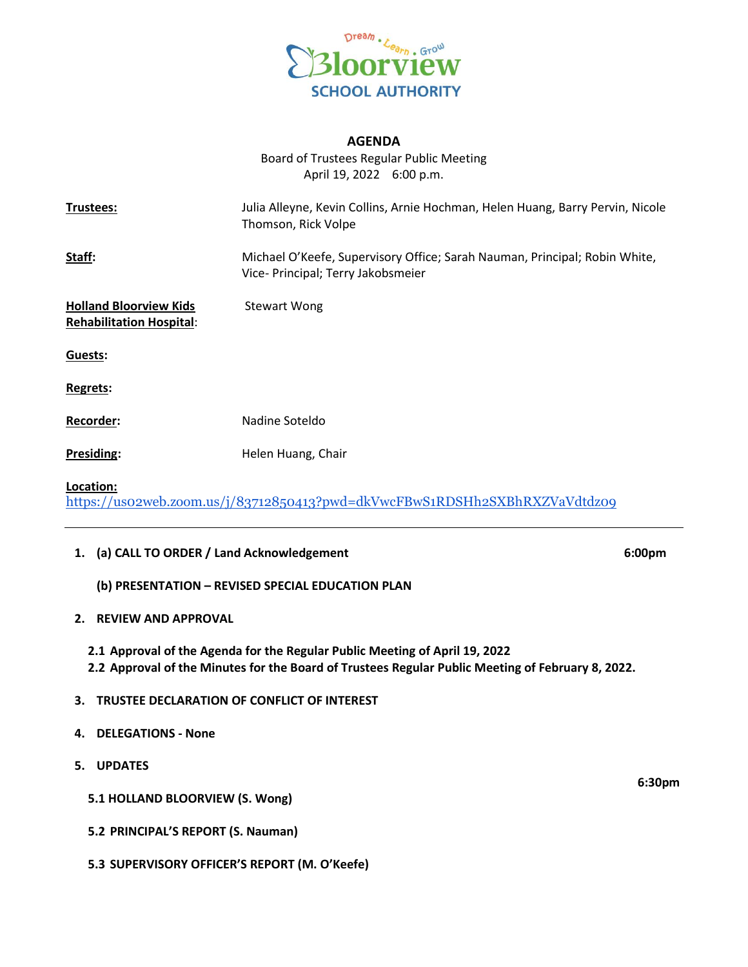

## **AGENDA**

Board of Trustees Regular Public Meeting April 19, 2022 6:00 p.m.

| Trustees:                                                                               | Julia Alleyne, Kevin Collins, Arnie Hochman, Helen Huang, Barry Pervin, Nicole<br>Thomson, Rick Volpe            |  |
|-----------------------------------------------------------------------------------------|------------------------------------------------------------------------------------------------------------------|--|
| Staff:                                                                                  | Michael O'Keefe, Supervisory Office; Sarah Nauman, Principal; Robin White,<br>Vice- Principal; Terry Jakobsmeier |  |
| <b>Holland Bloorview Kids</b><br><b>Rehabilitation Hospital:</b>                        | <b>Stewart Wong</b>                                                                                              |  |
| Guests:                                                                                 |                                                                                                                  |  |
| Regrets:                                                                                |                                                                                                                  |  |
| <b>Recorder:</b>                                                                        | Nadine Soteldo                                                                                                   |  |
| Presiding:                                                                              | Helen Huang, Chair                                                                                               |  |
| Location:<br>https://uso2web.zoom.us/j/83712850413?pwd=dkVwcFBwS1RDSHh2SXBhRXZVaVdtdzo9 |                                                                                                                  |  |

## **1. (a) CALL TO ORDER / Land Acknowledgement 6:00pm**

- **(b) PRESENTATION – REVISED SPECIAL EDUCATION PLAN**
- **2. REVIEW AND APPROVAL**

**2.1 Approval of the Agenda for the Regular Public Meeting of April 19, 2022 2.2 Approval of the Minutes for the Board of Trustees Regular Public Meeting of February 8, 2022.**

- **3. TRUSTEE DECLARATION OF CONFLICT OF INTEREST**
- **4. DELEGATIONS - None**
- **5. UPDATES**
	- **5.1 HOLLAND BLOORVIEW (S. Wong)**
	- **5.2 PRINCIPAL'S REPORT (S. Nauman)**
	- **5.3 SUPERVISORY OFFICER'S REPORT (M. O'Keefe)**

**6:30pm**